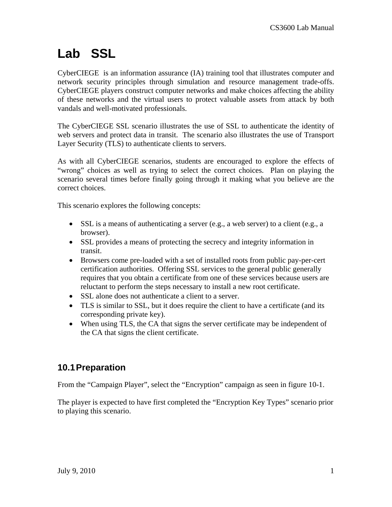# **Lab SSL**

CyberCIEGE is an information assurance (IA) training tool that illustrates computer and network security principles through simulation and resource management trade-offs. CyberCIEGE players construct computer networks and make choices affecting the ability of these networks and the virtual users to protect valuable assets from attack by both vandals and well-motivated professionals.

The CyberCIEGE SSL scenario illustrates the use of SSL to authenticate the identity of web servers and protect data in transit. The scenario also illustrates the use of Transport Layer Security (TLS) to authenticate clients to servers.

As with all CyberCIEGE scenarios, students are encouraged to explore the effects of "wrong" choices as well as trying to select the correct choices. Plan on playing the scenario several times before finally going through it making what you believe are the correct choices.

This scenario explores the following concepts:

- SSL is a means of authenticating a server (e.g., a web server) to a client (e.g., a browser).
- SSL provides a means of protecting the secrecy and integrity information in transit.
- Browsers come pre-loaded with a set of installed roots from public pay-per-cert certification authorities. Offering SSL services to the general public generally requires that you obtain a certificate from one of these services because users are reluctant to perform the steps necessary to install a new root certificate.
- SSL alone does not authenticate a client to a server.
- TLS is similar to SSL, but it does require the client to have a certificate (and its corresponding private key).
- When using TLS, the CA that signs the server certificate may be independent of the CA that signs the client certificate.

# **10.1 Preparation**

From the "Campaign Player", select the "Encryption" campaign as seen in figure 10-1.

The player is expected to have first completed the "Encryption Key Types" scenario prior to playing this scenario.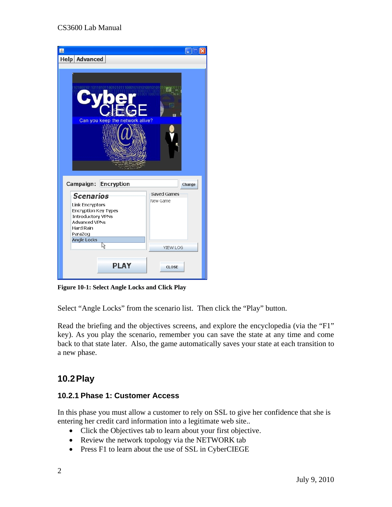#### CS3600 Lab Manual

| 国                                                                                |                    |
|----------------------------------------------------------------------------------|--------------------|
| Help Advanced                                                                    |                    |
|                                                                                  |                    |
| Œ<br>Can you keep the network alive?<br>Campaign:<br><b>Encryption</b><br>Change |                    |
|                                                                                  | <b>Saved Games</b> |
| Scenarios                                                                        | New Game           |
| <b>Link Encryptors</b><br><b>Encryption Key Types</b>                            |                    |
| <b>Introductory VPNs</b>                                                         |                    |
| <b>Advanced VPNs</b>                                                             |                    |
| <b>Hard Rain</b><br>ParaZog                                                      |                    |
| <b>Angle Locks</b>                                                               |                    |
| R                                                                                | <b>VIEW LOG</b>    |
|                                                                                  |                    |
| <b>PLAY</b>                                                                      | <b>CLOSE</b>       |

**Figure 10-1: Select Angle Locks and Click Play** 

Select "Angle Locks" from the scenario list. Then click the "Play" button.

Read the briefing and the objectives screens, and explore the encyclopedia (via the "F1" key). As you play the scenario, remember you can save the state at any time and come back to that state later. Also, the game automatically saves your state at each transition to a new phase.

## **10.2 Play**

#### **10.2.1 Phase 1: Customer Access**

In this phase you must allow a customer to rely on SSL to give her confidence that she is entering her credit card information into a legitimate web site..

- Click the Objectives tab to learn about your first objective.
- Review the network topology via the NETWORK tab
- Press F1 to learn about the use of SSL in CyberCIEGE